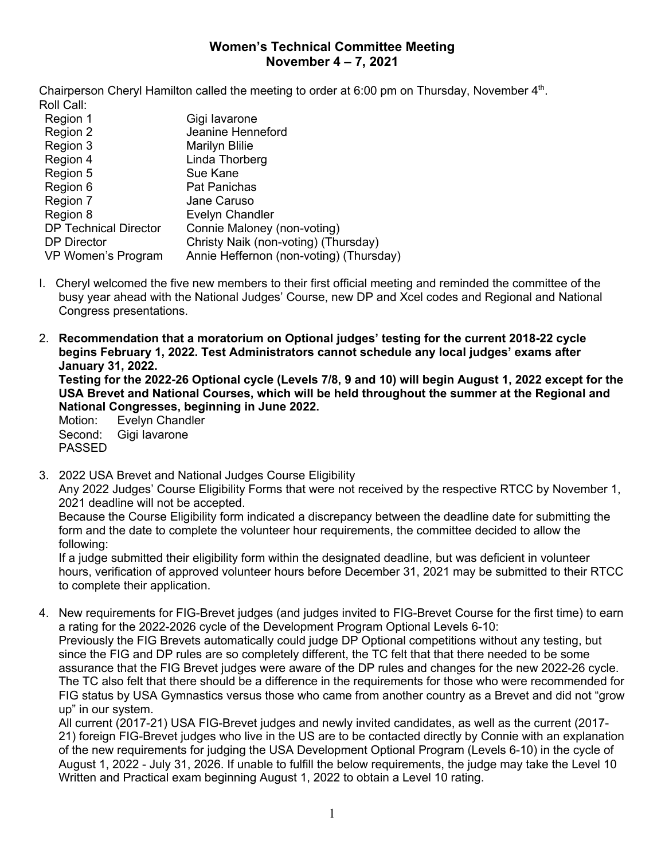## **Women's Technical Committee Meeting November 4 – 7, 2021**

Chairperson Cheryl Hamilton called the meeting to order at 6:00 pm on Thursday, November  $4<sup>th</sup>$ . Roll Call:

| Region 1                     | Gigi lavarone                           |
|------------------------------|-----------------------------------------|
| Region 2                     | Jeanine Henneford                       |
| Region 3                     | <b>Marilyn Blilie</b>                   |
| Region 4                     | Linda Thorberg                          |
| Region 5                     | Sue Kane                                |
| Region 6                     | Pat Panichas                            |
| Region 7                     | Jane Caruso                             |
| Region 8                     | Evelyn Chandler                         |
| <b>DP Technical Director</b> | Connie Maloney (non-voting)             |
| <b>DP Director</b>           | Christy Naik (non-voting) (Thursday)    |
| VP Women's Program           | Annie Heffernon (non-voting) (Thursday) |

- I. Cheryl welcomed the five new members to their first official meeting and reminded the committee of the busy year ahead with the National Judges' Course, new DP and Xcel codes and Regional and National Congress presentations.
- 2. **Recommendation that a moratorium on Optional judges' testing for the current 2018-22 cycle begins February 1, 2022. Test Administrators cannot schedule any local judges' exams after January 31, 2022.**

**Testing for the 2022-26 Optional cycle (Levels 7/8, 9 and 10) will begin August 1, 2022 except for the USA Brevet and National Courses, which will be held throughout the summer at the Regional and National Congresses, beginning in June 2022.**

Motion: Evelyn Chandler Second: Gigi Iavarone PASSED

3. 2022 USA Brevet and National Judges Course Eligibility Any 2022 Judges' Course Eligibility Forms that were not received by the respective RTCC by November 1, 2021 deadline will not be accepted.

Because the Course Eligibility form indicated a discrepancy between the deadline date for submitting the form and the date to complete the volunteer hour requirements, the committee decided to allow the following:

If a judge submitted their eligibility form within the designated deadline, but was deficient in volunteer hours, verification of approved volunteer hours before December 31, 2021 may be submitted to their RTCC to complete their application.

4. New requirements for FIG-Brevet judges (and judges invited to FIG-Brevet Course for the first time) to earn a rating for the 2022-2026 cycle of the Development Program Optional Levels 6-10: Previously the FIG Brevets automatically could judge DP Optional competitions without any testing, but since the FIG and DP rules are so completely different, the TC felt that that there needed to be some assurance that the FIG Brevet judges were aware of the DP rules and changes for the new 2022-26 cycle. The TC also felt that there should be a difference in the requirements for those who were recommended for FIG status by USA Gymnastics versus those who came from another country as a Brevet and did not "grow up" in our system.

All current (2017-21) USA FIG-Brevet judges and newly invited candidates, as well as the current (2017- 21) foreign FIG-Brevet judges who live in the US are to be contacted directly by Connie with an explanation of the new requirements for judging the USA Development Optional Program (Levels 6-10) in the cycle of August 1, 2022 - July 31, 2026. If unable to fulfill the below requirements, the judge may take the Level 10 Written and Practical exam beginning August 1, 2022 to obtain a Level 10 rating.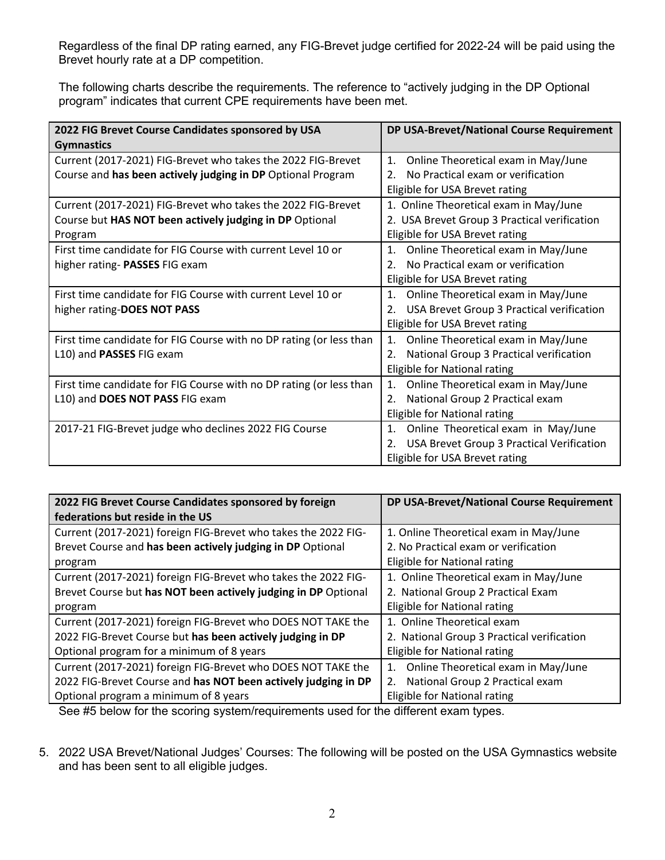Regardless of the final DP rating earned, any FIG-Brevet judge certified for 2022-24 will be paid using the Brevet hourly rate at a DP competition.

The following charts describe the requirements. The reference to "actively judging in the DP Optional program" indicates that current CPE requirements have been met.

| 2022 FIG Brevet Course Candidates sponsored by USA                  | DP USA-Brevet/National Course Requirement           |
|---------------------------------------------------------------------|-----------------------------------------------------|
| <b>Gymnastics</b>                                                   |                                                     |
| Current (2017-2021) FIG-Brevet who takes the 2022 FIG-Brevet        | Online Theoretical exam in May/June<br>1.           |
| Course and has been actively judging in DP Optional Program         | No Practical exam or verification<br>2 <sub>1</sub> |
|                                                                     | Eligible for USA Brevet rating                      |
| Current (2017-2021) FIG-Brevet who takes the 2022 FIG-Brevet        | 1. Online Theoretical exam in May/June              |
| Course but HAS NOT been actively judging in DP Optional             | 2. USA Brevet Group 3 Practical verification        |
| Program                                                             | Eligible for USA Brevet rating                      |
| First time candidate for FIG Course with current Level 10 or        | Online Theoretical exam in May/June<br>1.           |
| higher rating- PASSES FIG exam                                      | No Practical exam or verification<br>2.             |
|                                                                     | Eligible for USA Brevet rating                      |
| First time candidate for FIG Course with current Level 10 or        | Online Theoretical exam in May/June<br>1.           |
| higher rating-DOES NOT PASS                                         | USA Brevet Group 3 Practical verification<br>2.     |
|                                                                     | Eligible for USA Brevet rating                      |
| First time candidate for FIG Course with no DP rating (or less than | Online Theoretical exam in May/June<br>1.           |
| L10) and PASSES FIG exam                                            | National Group 3 Practical verification<br>2.       |
|                                                                     | Eligible for National rating                        |
| First time candidate for FIG Course with no DP rating (or less than | Online Theoretical exam in May/June<br>1.           |
| L10) and DOES NOT PASS FIG exam                                     | National Group 2 Practical exam<br>2.               |
|                                                                     | Eligible for National rating                        |
| 2017-21 FIG-Brevet judge who declines 2022 FIG Course               | Online Theoretical exam in May/June<br>1.           |
|                                                                     | USA Brevet Group 3 Practical Verification           |
|                                                                     | Eligible for USA Brevet rating                      |

| 2022 FIG Brevet Course Candidates sponsored by foreign<br>federations but reside in the US | DP USA-Brevet/National Course Requirement  |
|--------------------------------------------------------------------------------------------|--------------------------------------------|
| Current (2017-2021) foreign FIG-Brevet who takes the 2022 FIG-                             | 1. Online Theoretical exam in May/June     |
| Brevet Course and has been actively judging in DP Optional                                 | 2. No Practical exam or verification       |
| program                                                                                    | Eligible for National rating               |
| Current (2017-2021) foreign FIG-Brevet who takes the 2022 FIG-                             | 1. Online Theoretical exam in May/June     |
| Brevet Course but has NOT been actively judging in DP Optional                             | 2. National Group 2 Practical Exam         |
| program                                                                                    | Eligible for National rating               |
| Current (2017-2021) foreign FIG-Brevet who DOES NOT TAKE the                               | 1. Online Theoretical exam                 |
| 2022 FIG-Brevet Course but has been actively judging in DP                                 | 2. National Group 3 Practical verification |
| Optional program for a minimum of 8 years                                                  | Eligible for National rating               |
| Current (2017-2021) foreign FIG-Brevet who DOES NOT TAKE the                               | Online Theoretical exam in May/June<br>1.  |
| 2022 FIG-Brevet Course and has NOT been actively judging in DP                             | National Group 2 Practical exam<br>2.      |
| Optional program a minimum of 8 years                                                      | Eligible for National rating               |

See #5 below for the scoring system/requirements used for the different exam types.

5. 2022 USA Brevet/National Judges' Courses: The following will be posted on the USA Gymnastics website and has been sent to all eligible judges.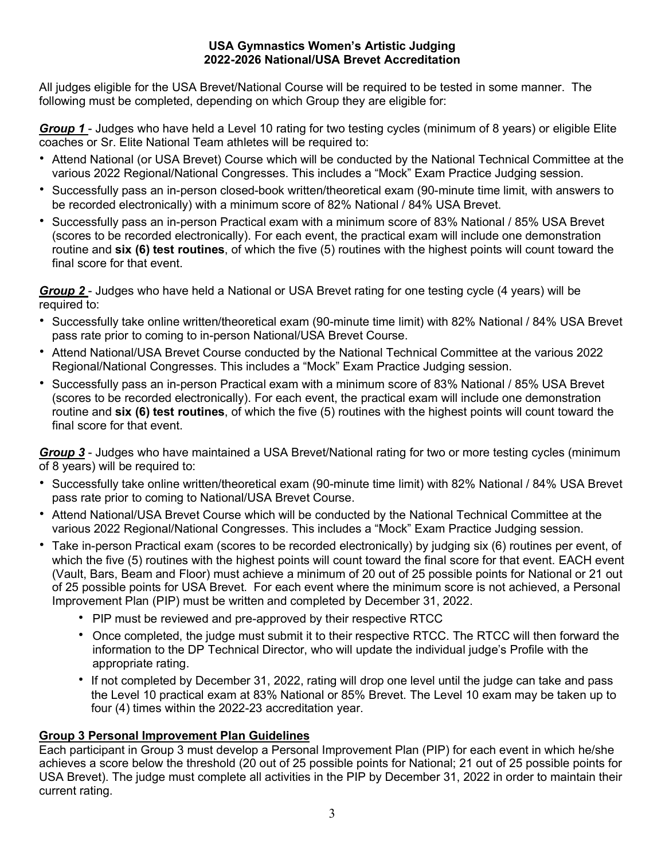## **USA Gymnastics Women's Artistic Judging 2022-2026 National/USA Brevet Accreditation**

All judges eligible for the USA Brevet/National Course will be required to be tested in some manner. The following must be completed, depending on which Group they are eligible for:

*Group 1* - Judges who have held a Level 10 rating for two testing cycles (minimum of 8 years) or eligible Elite coaches or Sr. Elite National Team athletes will be required to:

- Attend National (or USA Brevet) Course which will be conducted by the National Technical Committee at the various 2022 Regional/National Congresses. This includes a "Mock" Exam Practice Judging session.
- Successfully pass an in-person closed-book written/theoretical exam (90-minute time limit, with answers to be recorded electronically) with a minimum score of 82% National / 84% USA Brevet.
- Successfully pass an in-person Practical exam with a minimum score of 83% National / 85% USA Brevet (scores to be recorded electronically). For each event, the practical exam will include one demonstration routine and **six (6) test routines**, of which the five (5) routines with the highest points will count toward the final score for that event.

*Group 2* - Judges who have held a National or USA Brevet rating for one testing cycle (4 years) will be required to:

- Successfully take online written/theoretical exam (90-minute time limit) with 82% National / 84% USA Brevet pass rate prior to coming to in-person National/USA Brevet Course.
- Attend National/USA Brevet Course conducted by the National Technical Committee at the various 2022 Regional/National Congresses. This includes a "Mock" Exam Practice Judging session.
- Successfully pass an in-person Practical exam with a minimum score of 83% National / 85% USA Brevet (scores to be recorded electronically). For each event, the practical exam will include one demonstration routine and **six (6) test routines**, of which the five (5) routines with the highest points will count toward the final score for that event.

*Group 3* - Judges who have maintained a USA Brevet/National rating for two or more testing cycles (minimum of 8 years) will be required to:

- Successfully take online written/theoretical exam (90-minute time limit) with 82% National / 84% USA Brevet pass rate prior to coming to National/USA Brevet Course.
- Attend National/USA Brevet Course which will be conducted by the National Technical Committee at the various 2022 Regional/National Congresses. This includes a "Mock" Exam Practice Judging session.
- Take in-person Practical exam (scores to be recorded electronically) by judging six (6) routines per event, of which the five (5) routines with the highest points will count toward the final score for that event. EACH event (Vault, Bars, Beam and Floor) must achieve a minimum of 20 out of 25 possible points for National or 21 out of 25 possible points for USA Brevet. For each event where the minimum score is not achieved, a Personal Improvement Plan (PIP) must be written and completed by December 31, 2022.
	- PIP must be reviewed and pre-approved by their respective RTCC
	- Once completed, the judge must submit it to their respective RTCC. The RTCC will then forward the information to the DP Technical Director, who will update the individual judge's Profile with the appropriate rating.
	- If not completed by December 31, 2022, rating will drop one level until the judge can take and pass the Level 10 practical exam at 83% National or 85% Brevet. The Level 10 exam may be taken up to four (4) times within the 2022-23 accreditation year.

## **Group 3 Personal Improvement Plan Guidelines**

Each participant in Group 3 must develop a Personal Improvement Plan (PIP) for each event in which he/she achieves a score below the threshold (20 out of 25 possible points for National; 21 out of 25 possible points for USA Brevet). The judge must complete all activities in the PIP by December 31, 2022 in order to maintain their current rating.